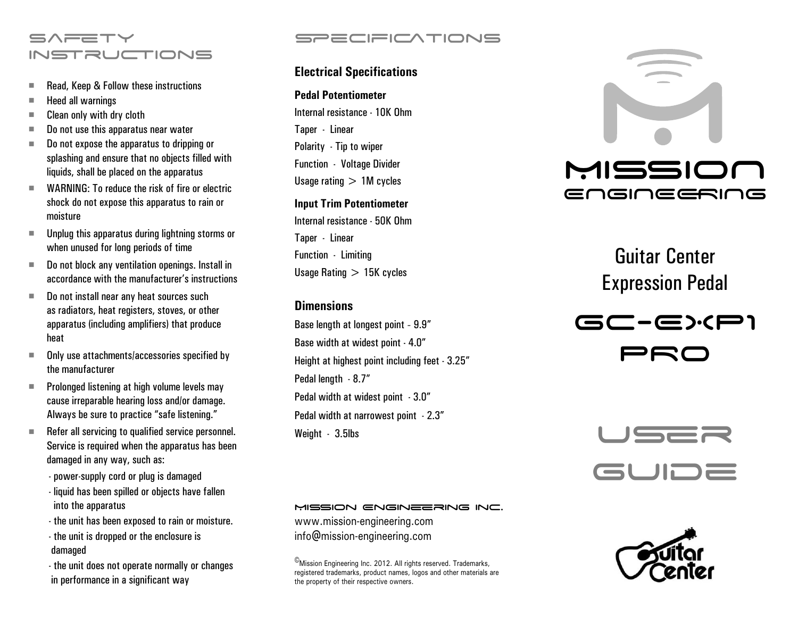# $S \wedge \equiv T \vee$ **INSTRUCTIONS**

- Read, Keep & Follow these instructions
- $\blacksquare$  Heed all warnings
- $\blacksquare$  Clean only with dry cloth
- Do not use this apparatus near water
- Do not expose the apparatus to dripping or splashing and ensure that no objects filled with liquids, shall be placed on the apparatus
- WARNING: To reduce the risk of fire or electric shock do not expose this apparatus to rain or moisture
- $\blacksquare$  Unplug this apparatus during lightning storms or when unused for long periods of time
- Do not block any ventilation openings. Install in accordance with the manufacturer's instructions
- Do not install near any heat sources such as radiators, heat registers, stoves, or other apparatus (including amplifiers) that produce heat
- $\blacksquare$  Only use attachments/accessories specified by the manufacturer
- $\blacksquare$  Prolonged listening at high volume levels may cause irreparable hearing loss and/or damage. Always be sure to practice "safe listening."
- $\blacksquare$  Refer all servicing to qualified service personnel. Service is required when the apparatus has been damaged in any way, such as:
	- power-supply cord or plug is damaged
	- liquid has been spilled or objects have fallen into the apparatus
	- the unit has been exposed to rain or moisture.
	- the unit is dropped or the enclosure is damaged
	- the unit does not operate normally or changes in performance in a significant way

# SPECIFICATIONS

# **Electrical Specifications**

### **Pedal Potentiometer**

Internal resistance - 10K Ohm Taper - Linear Polarity - Tip to wiper Function - Voltage Divider Usage rating  $> 1M$  cycles

#### **Input Trim Potentiometer**

Internal resistance - 50K Ohm Taper - Linear Function - Limiting Usage Rating  $> 15K$  cycles

## **Dimensions**

Base length at longest point - 9.9" Base width at widest point - 4.0" Height at highest point including feet - 3.25" Pedal length - 8.7" Pedal width at widest point - 3.0" Pedal width at narrowest point - 2.3" Weight - 3.5lbs



Guitar Center Expression Pedal





#### MISSION ENGINEERING INC.

www.mission-engineering.com info@mission-engineering.com

©Mission Engineering Inc. 2012. All rights reserved. Trademarks, registered trademarks, product names, logos and other materials are the property of their respective owners.